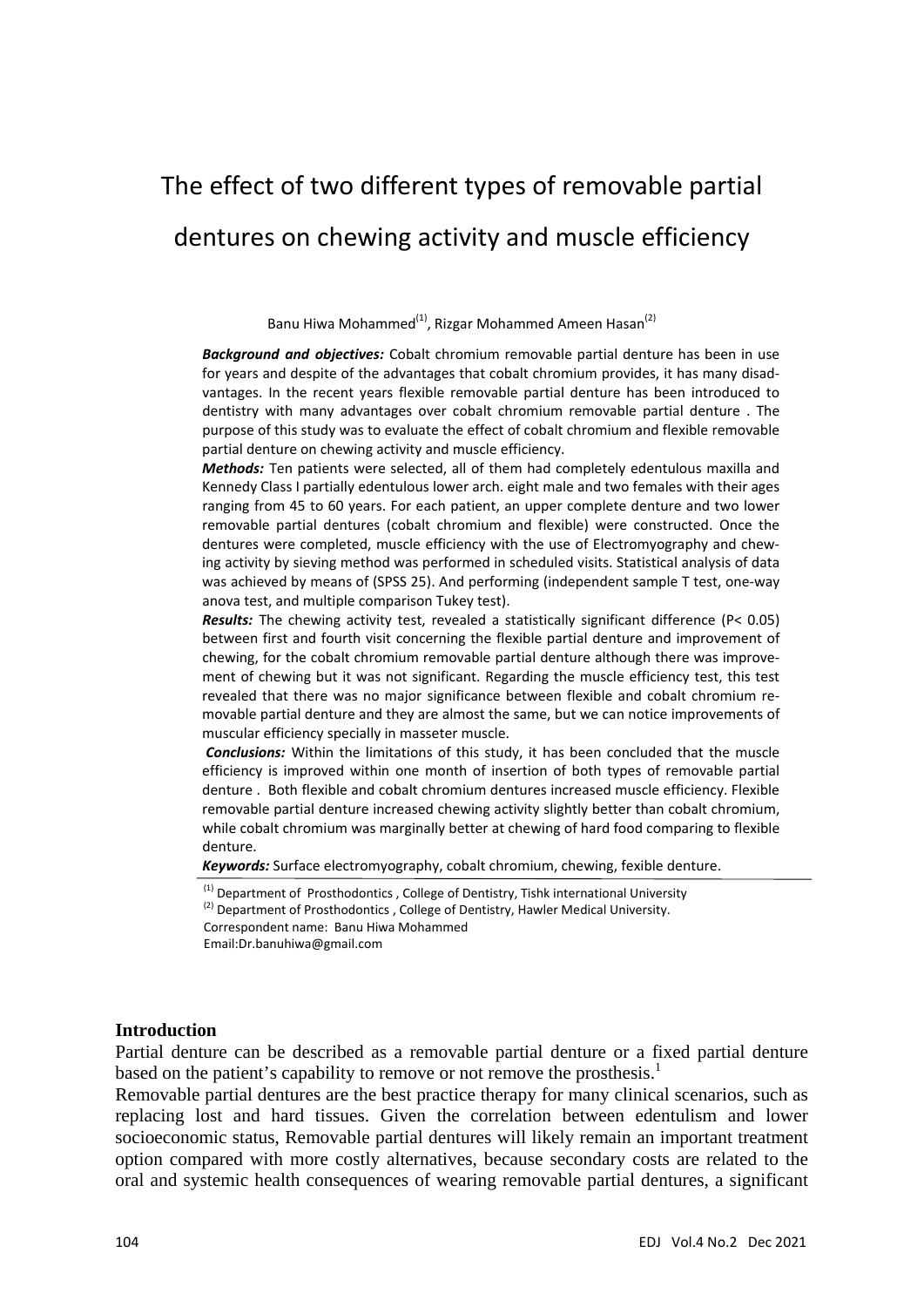# The effect of two different types of removable partial dentures on chewing activity and muscle efficiency

Banu Hiwa Mohammed<sup>(1)</sup>, Rizgar Mohammed Ameen Hasan<sup>(2)</sup>

*Background and objectives:* Cobalt chromium removable partial denture has been in use for years and despite of the advantages that cobalt chromium provides, it has many disad‐ vantages. In the recent years flexible removable partial denture has been introduced to dentistry with many advantages over cobalt chromium removable partial denture . The purpose of this study was to evaluate the effect of cobalt chromium and flexible removable partial denture on chewing activity and muscle efficiency.

*Methods:* Ten patients were selected, all of them had completely edentulous maxilla and Kennedy Class I partially edentulous lower arch. eight male and two females with their ages ranging from 45 to 60 years. For each patient, an upper complete denture and two lower removable partial dentures (cobalt chromium and flexible) were constructed. Once the dentures were completed, muscle efficiency with the use of Electromyography and chew‐ ing activity by sieving method was performed in scheduled visits. Statistical analysis of data was achieved by means of (SPSS 25). And performing (independent sample T test, one‐way anova test, and multiple comparison Tukey test).

*Results:* The chewing activity test, revealed a statistically significant difference (P< 0.05) between first and fourth visit concerning the flexible partial denture and improvement of chewing, for the cobalt chromium removable partial denture although there was improve‐ ment of chewing but it was not significant. Regarding the muscle efficiency test, this test revealed that there was no major significance between flexible and cobalt chromium removable partial denture and they are almost the same, but we can notice improvements of muscular efficiency specially in masseter muscle.

*Conclusions:* Within the limitations of this study, it has been concluded that the muscle efficiency is improved within one month of insertion of both types of removable partial denture . Both flexible and cobalt chromium dentures increased muscle efficiency. Flexible removable partial denture increased chewing activity slightly better than cobalt chromium, while cobalt chromium was marginally better at chewing of hard food comparing to flexible denture.

*Keywords:* Surface electromyography, cobalt chromium, chewing, fexible denture.

Correspondent name: Banu Hiwa Mohammed

Email:Dr.banuhiwa@gmail.com

#### **Introduction**

Partial denture can be described as a removable partial denture or a fixed partial denture based on the patient's capability to remove or not remove the prosthesis.<sup>1</sup>

Removable partial dentures are the best practice therapy for many clinical scenarios, such as replacing lost and hard tissues. Given the correlation between edentulism and lower socioeconomic status, Removable partial dentures will likely remain an important treatment option compared with more costly alternatives, because secondary costs are related to the oral and systemic health consequences of wearing removable partial dentures, a significant

 $<sup>(1)</sup>$  Department of Prosthodontics, College of Dentistry, Tishk international University</sup>

 $^{(2)}$  Department of Prosthodontics, College of Dentistry, Hawler Medical University.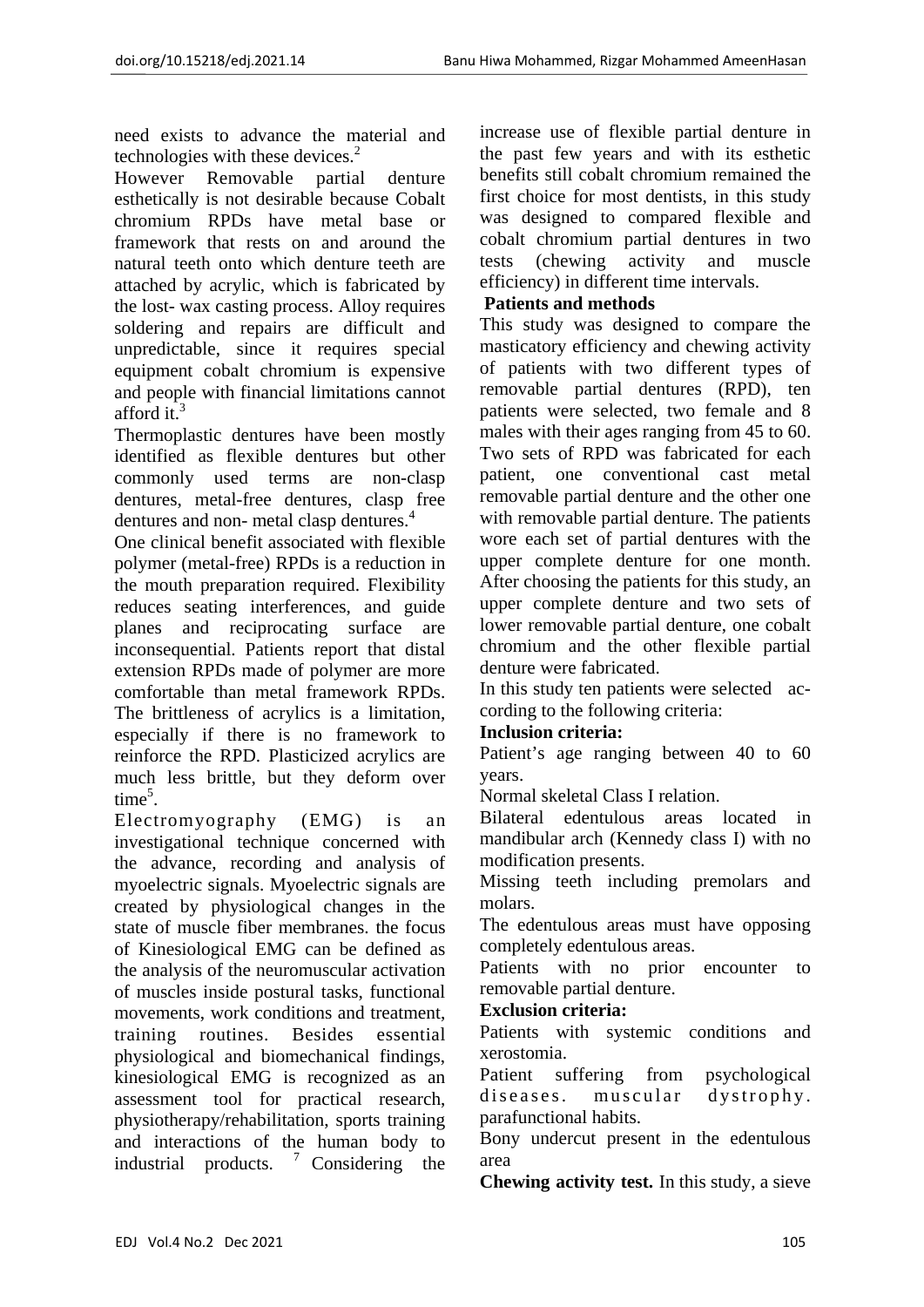need exists to advance the material and technologies with these devices. $2$ 

However Removable partial denture esthetically is not desirable because Cobalt chromium RPDs have metal base or framework that rests on and around the natural teeth onto which denture teeth are attached by acrylic, which is fabricated by the lost- wax casting process. Alloy requires soldering and repairs are difficult and unpredictable, since it requires special equipment cobalt chromium is expensive and people with financial limitations cannot afford it.<sup>3</sup>

Thermoplastic dentures have been mostly identified as flexible dentures but other commonly used terms are non-clasp dentures, metal-free dentures, clasp free dentures and non- metal clasp dentures.<sup>4</sup>

One clinical benefit associated with flexible polymer (metal-free) RPDs is a reduction in the mouth preparation required. Flexibility reduces seating interferences, and guide planes and reciprocating surface are inconsequential. Patients report that distal extension RPDs made of polymer are more comfortable than metal framework RPDs. The brittleness of acrylics is a limitation, especially if there is no framework to reinforce the RPD. Plasticized acrylics are much less brittle, but they deform over  $time^5$ .

Electromyography (EMG) is an investigational technique concerned with the advance, recording and analysis of myoelectric signals. Myoelectric signals are created by physiological changes in the state of muscle fiber membranes. the focus of Kinesiological EMG can be defined as the analysis of the neuromuscular activation of muscles inside postural tasks, functional movements, work conditions and treatment, training routines. Besides essential physiological and biomechanical findings, kinesiological EMG is recognized as an assessment tool for practical research, physiotherapy/rehabilitation, sports training and interactions of the human body to industrial products.  $\frac{7}{1}$  Considering the

increase use of flexible partial denture in the past few years and with its esthetic benefits still cobalt chromium remained the first choice for most dentists, in this study was designed to compared flexible and cobalt chromium partial dentures in two tests (chewing activity and muscle efficiency) in different time intervals.

# **Patients and methods**

This study was designed to compare the masticatory efficiency and chewing activity of patients with two different types of removable partial dentures (RPD), ten patients were selected, two female and 8 males with their ages ranging from 45 to 60. Two sets of RPD was fabricated for each patient, one conventional cast metal removable partial denture and the other one with removable partial denture. The patients wore each set of partial dentures with the upper complete denture for one month. After choosing the patients for this study, an upper complete denture and two sets of lower removable partial denture, one cobalt chromium and the other flexible partial denture were fabricated.

In this study ten patients were selected according to the following criteria:

# **Inclusion criteria:**

Patient's age ranging between 40 to 60 years.

Normal skeletal Class I relation.

Bilateral edentulous areas located in mandibular arch (Kennedy class I) with no modification presents.

Missing teeth including premolars and molars.

The edentulous areas must have opposing completely edentulous areas.

Patients with no prior encounter to removable partial denture.

## **Exclusion criteria:**

Patients with systemic conditions and xerostomia.

Patient suffering from psychological diseases. muscular dystrophy. parafunctional habits.

Bony undercut present in the edentulous area

**Chewing activity test.** In this study, a sieve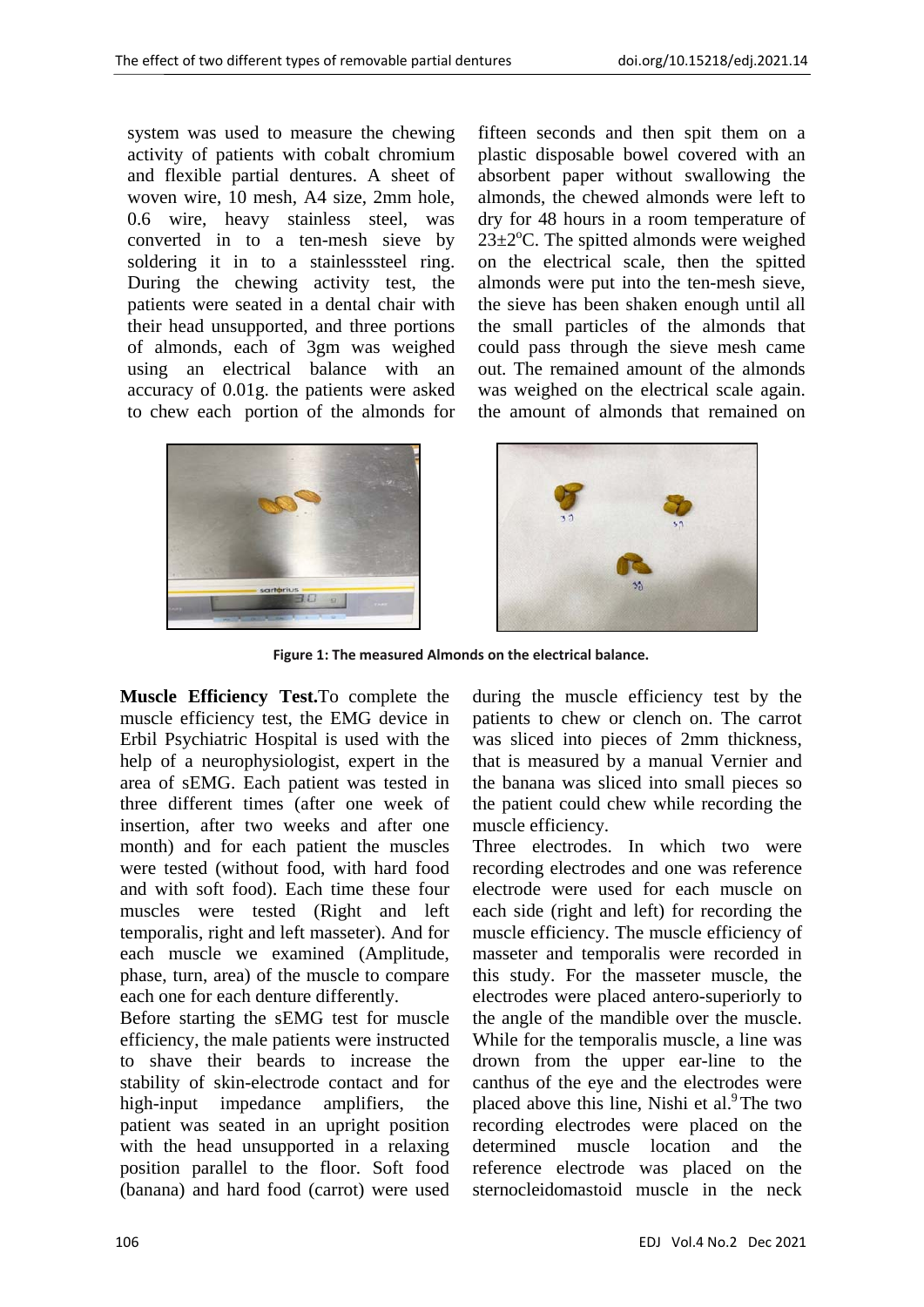system was used to measure the chewing activity of patients with cobalt chromium and flexible partial dentures. A sheet of woven wire, 10 mesh, A4 size, 2mm hole, 0.6 wire, heavy stainless steel, was converted in to a ten-mesh sieve by soldering it in to a stainlesssteel ring. During the chewing activity test, the patients were seated in a dental chair with their head unsupported, and three portions of almonds, each of 3gm was weighed using an electrical balance with an accuracy of 0.01g. the patients were asked to chew each portion of the almonds for



fifteen seconds and then spit them on a plastic disposable bowel covered with an absorbent paper without swallowing the almonds, the chewed almonds were left to dry for 48 hours in a room temperature of  $23 \pm 2$ °C. The spitted almonds were weighed on the electrical scale, then the spitted almonds were put into the ten-mesh sieve, the sieve has been shaken enough until all the small particles of the almonds that could pass through the sieve mesh came out. The remained amount of the almonds was weighed on the electrical scale again. the amount of almonds that remained on



**Figure 1: The measured Almonds on the electrical balance.**

**Muscle Efficiency Test.**To complete the muscle efficiency test, the EMG device in Erbil Psychiatric Hospital is used with the help of a neurophysiologist, expert in the area of sEMG. Each patient was tested in three different times (after one week of insertion, after two weeks and after one month) and for each patient the muscles were tested (without food, with hard food and with soft food). Each time these four muscles were tested (Right and left temporalis, right and left masseter). And for each muscle we examined (Amplitude, phase, turn, area) of the muscle to compare each one for each denture differently.

Before starting the sEMG test for muscle efficiency, the male patients were instructed to shave their beards to increase the stability of skin-electrode contact and for high-input impedance amplifiers, the patient was seated in an upright position with the head unsupported in a relaxing position parallel to the floor. Soft food (banana) and hard food (carrot) were used during the muscle efficiency test by the patients to chew or clench on. The carrot was sliced into pieces of 2mm thickness, that is measured by a manual Vernier and the banana was sliced into small pieces so the patient could chew while recording the muscle efficiency.

Three electrodes. In which two were recording electrodes and one was reference electrode were used for each muscle on each side (right and left) for recording the muscle efficiency. The muscle efficiency of masseter and temporalis were recorded in this study. For the masseter muscle, the electrodes were placed antero-superiorly to the angle of the mandible over the muscle. While for the temporalis muscle, a line was drown from the upper ear-line to the canthus of the eye and the electrodes were placed above this line, Nishi et al. $9$ <sup>9</sup>The two recording electrodes were placed on the determined muscle location and the reference electrode was placed on the sternocleidomastoid muscle in the neck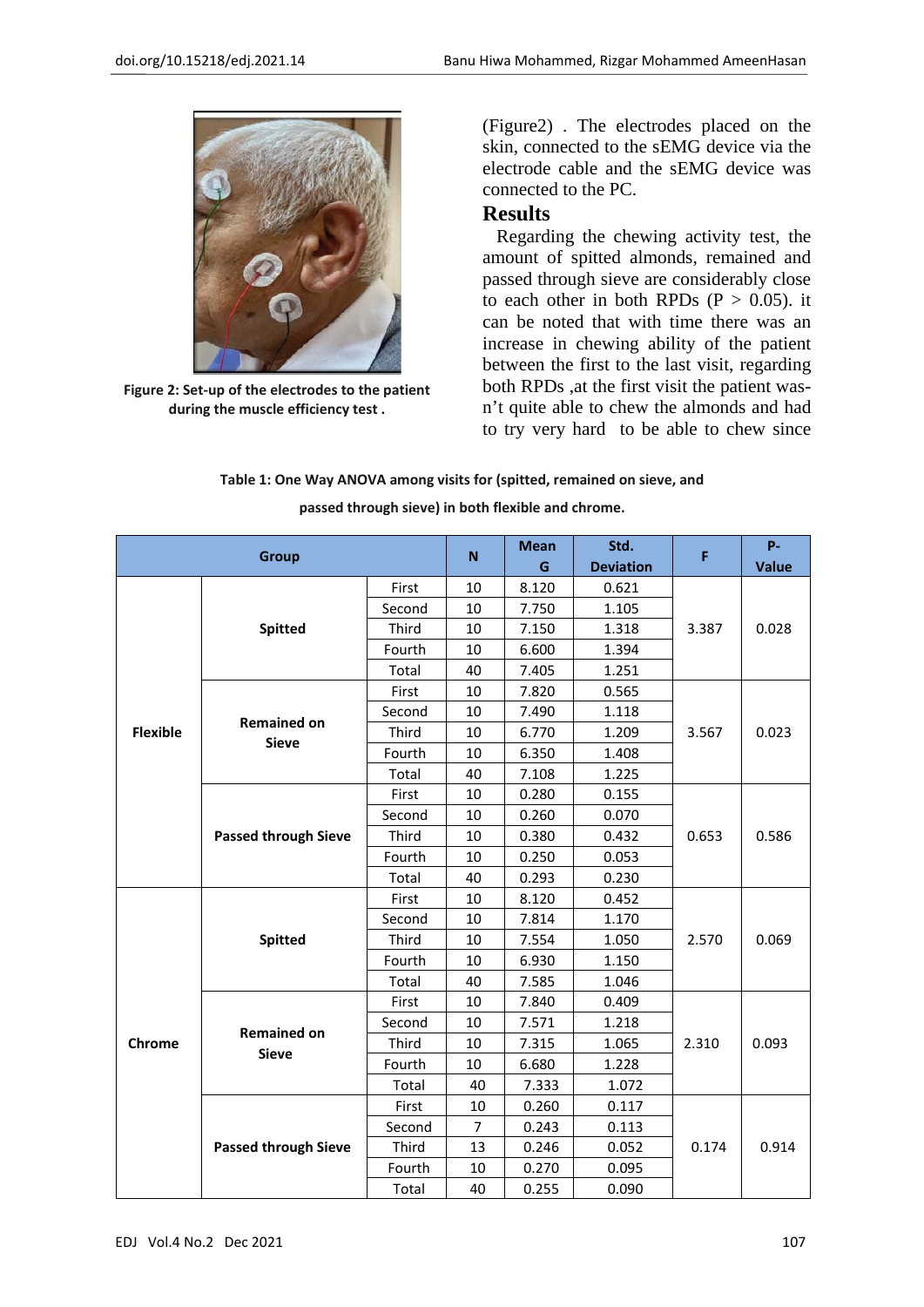

**Figure 2: Set‐up of the electrodes to the patient during the muscle efficiency test .**

(Figure2) . The electrodes placed on the skin, connected to the sEMG device via the electrode cable and the sEMG device was connected to the PC.

# **Results**

 Regarding the chewing activity test, the amount of spitted almonds, remained and passed through sieve are considerably close to each other in both RPDs ( $P > 0.05$ ). it can be noted that with time there was an increase in chewing ability of the patient between the first to the last visit, regarding both RPDs ,at the first visit the patient wasn't quite able to chew the almonds and had to try very hard to be able to chew since

|  |  | Table 1: One Way ANOVA among visits for (spitted, remained on sieve, and |  |
|--|--|--------------------------------------------------------------------------|--|
|  |  |                                                                          |  |

| <b>Group</b>    |                                    | N      | <b>Mean</b>    | Std.  | F                | P-    |              |
|-----------------|------------------------------------|--------|----------------|-------|------------------|-------|--------------|
|                 |                                    |        |                | G     | <b>Deviation</b> |       | <b>Value</b> |
|                 |                                    | First  | 10             | 8.120 | 0.621            |       | 0.028        |
|                 | <b>Spitted</b>                     | Second | 10             | 7.750 | 1.105            |       |              |
|                 |                                    | Third  | 10             | 7.150 | 1.318            | 3.387 |              |
|                 |                                    | Fourth | 10             | 6.600 | 1.394            |       |              |
|                 |                                    | Total  | 40             | 7.405 | 1.251            |       |              |
|                 |                                    | First  | 10             | 7.820 | 0.565            |       | 0.023        |
|                 | <b>Remained on</b>                 | Second | 10             | 7.490 | 1.118            |       |              |
| <b>Flexible</b> | <b>Sieve</b>                       | Third  | 10             | 6.770 | 1.209            | 3.567 |              |
|                 |                                    | Fourth | 10             | 6.350 | 1.408            |       |              |
|                 |                                    | Total  | 40             | 7.108 | 1.225            |       |              |
|                 | <b>Passed through Sieve</b>        | First  | 10             | 0.280 | 0.155            |       | 0.586        |
|                 |                                    | Second | 10             | 0.260 | 0.070            |       |              |
|                 |                                    | Third  | 10             | 0.380 | 0.432            | 0.653 |              |
|                 |                                    | Fourth | 10             | 0.250 | 0.053            |       |              |
|                 |                                    | Total  | 40             | 0.293 | 0.230            |       |              |
|                 | <b>Spitted</b>                     | First  | 10             | 8.120 | 0.452            |       | 0.069        |
|                 |                                    | Second | 10             | 7.814 | 1.170            |       |              |
|                 |                                    | Third  | 10             | 7.554 | 1.050            | 2.570 |              |
| Chrome          |                                    | Fourth | 10             | 6.930 | 1.150            |       |              |
|                 |                                    | Total  | 40             | 7.585 | 1.046            |       |              |
|                 | <b>Remained on</b><br><b>Sieve</b> | First  | 10             | 7.840 | 0.409            |       | 0.093        |
|                 |                                    | Second | 10             | 7.571 | 1.218            |       |              |
|                 |                                    | Third  | 10             | 7.315 | 1.065            | 2.310 |              |
|                 |                                    | Fourth | 10             | 6.680 | 1.228            |       |              |
|                 |                                    | Total  | 40             | 7.333 | 1.072            |       |              |
|                 | <b>Passed through Sieve</b>        | First  | 10             | 0.260 | 0.117            |       | 0.914        |
|                 |                                    | Second | $\overline{7}$ | 0.243 | 0.113            |       |              |
|                 |                                    | Third  | 13             | 0.246 | 0.052            | 0.174 |              |
|                 |                                    | Fourth | 10             | 0.270 | 0.095            |       |              |
|                 |                                    | Total  | 40             | 0.255 | 0.090            |       |              |

#### **passed through sieve) in both flexible and chrome.**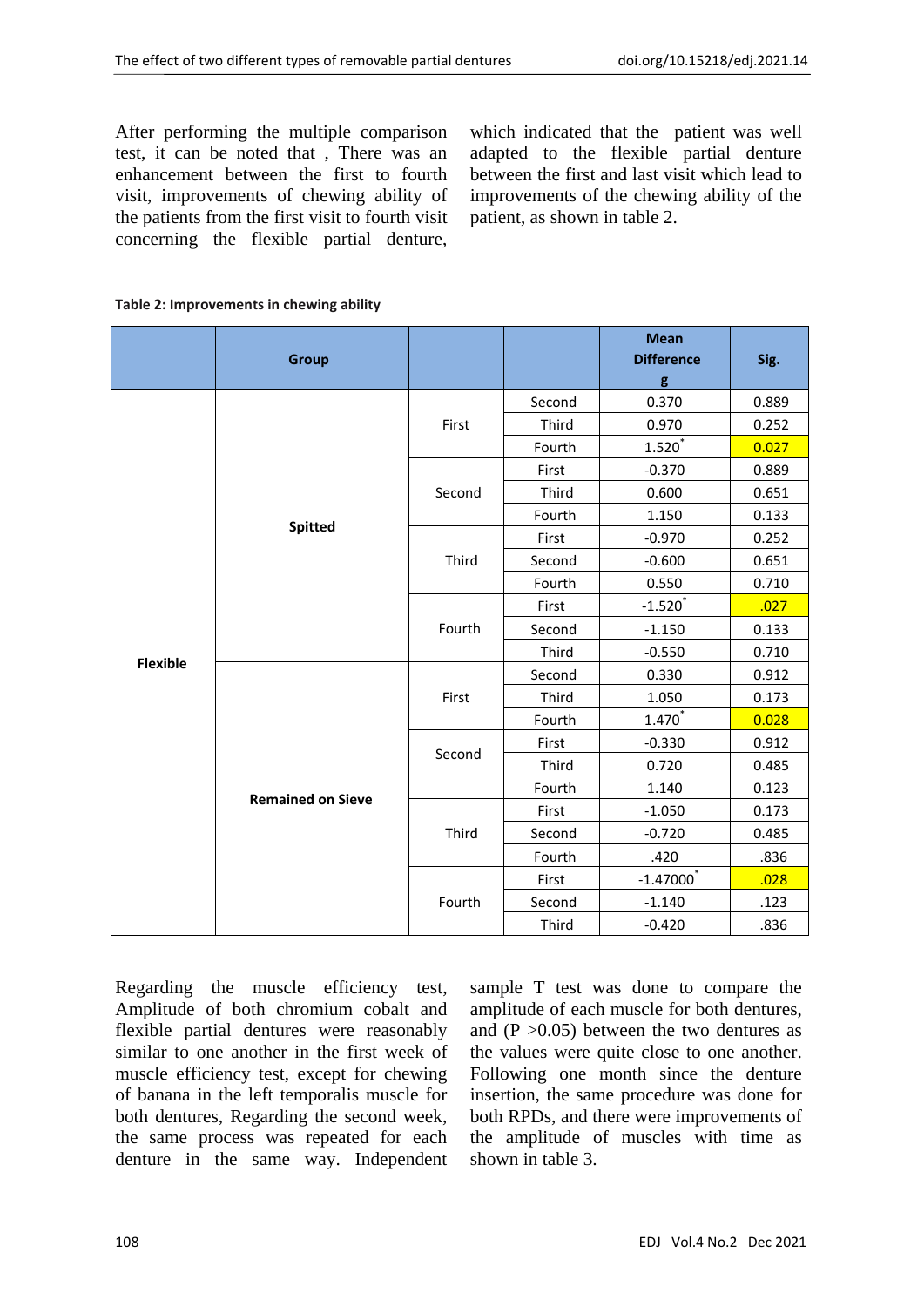After performing the multiple comparison test, it can be noted that , There was an enhancement between the first to fourth visit, improvements of chewing ability of the patients from the first visit to fourth visit concerning the flexible partial denture,

which indicated that the patient was well adapted to the flexible partial denture between the first and last visit which lead to improvements of the chewing ability of the patient, as shown in table 2.

| Table 2: Improvements in chewing ability |  |  |  |
|------------------------------------------|--|--|--|
|------------------------------------------|--|--|--|

|                 | <b>Group</b>             |        |        | <b>Mean</b><br><b>Difference</b><br>g | Sig.  |
|-----------------|--------------------------|--------|--------|---------------------------------------|-------|
|                 |                          | First  | Second | 0.370                                 | 0.889 |
|                 |                          |        | Third  | 0.970                                 | 0.252 |
|                 |                          |        | Fourth | $1.520^{^{\ast}}$                     | 0.027 |
|                 |                          |        | First  | $-0.370$                              | 0.889 |
|                 |                          | Second | Third  | 0.600                                 | 0.651 |
|                 | <b>Spitted</b>           |        | Fourth | 1.150                                 | 0.133 |
|                 |                          |        | First  | $-0.970$                              | 0.252 |
|                 |                          | Third  | Second | $-0.600$                              | 0.651 |
|                 |                          |        | Fourth | 0.550                                 | 0.710 |
|                 |                          | Fourth | First  | $-1.520$                              | .027  |
|                 |                          |        | Second | $-1.150$                              | 0.133 |
|                 |                          |        | Third  | $-0.550$                              | 0.710 |
| <b>Flexible</b> |                          |        | Second | 0.330                                 | 0.912 |
|                 |                          | First  | Third  | 1.050                                 | 0.173 |
|                 |                          |        | Fourth | $1.470^{^\ast}$                       | 0.028 |
|                 |                          | Second | First  | $-0.330$                              | 0.912 |
|                 |                          |        | Third  | 0.720                                 | 0.485 |
|                 | <b>Remained on Sieve</b> |        | Fourth | 1.140                                 | 0.123 |
|                 |                          | Third  | First  | $-1.050$                              | 0.173 |
|                 |                          |        | Second | $-0.720$                              | 0.485 |
|                 |                          |        | Fourth | .420                                  | .836  |
|                 |                          | Fourth | First  | $-1.47000$ <sup>*</sup>               | .028  |
|                 |                          |        | Second | $-1.140$                              | .123  |
|                 |                          |        | Third  | $-0.420$                              | .836  |

Regarding the muscle efficiency test, Amplitude of both chromium cobalt and flexible partial dentures were reasonably similar to one another in the first week of muscle efficiency test, except for chewing of banana in the left temporalis muscle for both dentures, Regarding the second week, the same process was repeated for each denture in the same way. Independent

sample T test was done to compare the amplitude of each muscle for both dentures, and  $(P > 0.05)$  between the two dentures as the values were quite close to one another. Following one month since the denture insertion, the same procedure was done for both RPDs, and there were improvements of the amplitude of muscles with time as shown in table 3.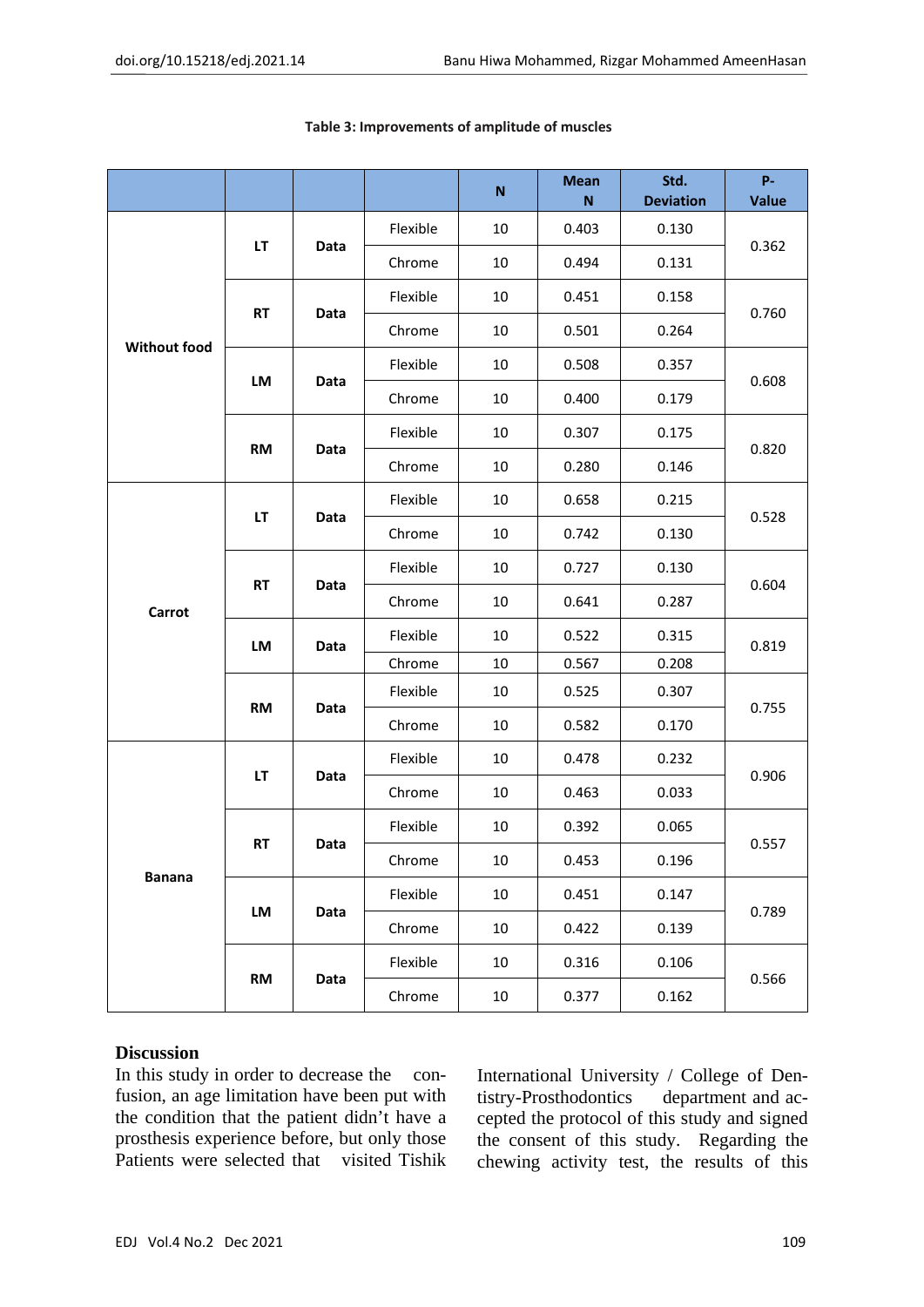|                     |               |      |          | ${\sf N}$ | <b>Mean</b><br>N | Std.<br><b>Deviation</b> | P-<br><b>Value</b> |
|---------------------|---------------|------|----------|-----------|------------------|--------------------------|--------------------|
| <b>Without food</b> | LT            | Data | Flexible | 10        | 0.403            | 0.130                    | 0.362              |
|                     |               |      | Chrome   | 10        | 0.494            | 0.131                    |                    |
|                     | <b>RT</b>     | Data | Flexible | 10        | 0.451            | 0.158                    | 0.760              |
|                     |               |      | Chrome   | 10        | 0.501            | 0.264                    |                    |
|                     | LM            | Data | Flexible | 10        | 0.508            | 0.357                    | 0.608              |
|                     |               |      | Chrome   | 10        | 0.400            | 0.179                    |                    |
|                     |               | Data | Flexible | 10        | 0.307            | 0.175                    | 0.820              |
|                     | <b>RM</b>     |      | Chrome   | 10        | 0.280            | 0.146                    |                    |
|                     | LT            | Data | Flexible | 10        | 0.658            | 0.215                    |                    |
|                     |               |      | Chrome   | 10        | 0.742            | 0.130                    | 0.528              |
| Carrot              | <b>RT</b>     | Data | Flexible | 10        | 0.727            | 0.130                    | 0.604              |
|                     |               |      | Chrome   | 10        | 0.641            | 0.287                    |                    |
|                     | LM            | Data | Flexible | 10        | 0.522            | 0.315                    | 0.819              |
|                     |               |      | Chrome   | 10        | 0.567            | 0.208                    |                    |
|                     | <b>RM</b>     | Data | Flexible | 10        | 0.525            | 0.307                    | 0.755              |
|                     |               |      | Chrome   | 10        | 0.582            | 0.170                    |                    |
| <b>Banana</b>       | LT            | Data | Flexible | 10        | 0.478            | 0.232                    | 0.906              |
|                     |               |      | Chrome   | 10        | 0.463            | 0.033                    |                    |
|                     | <b>RT</b>     | Data | Flexible | 10        | 0.392            | 0.065                    | 0.557              |
|                     |               |      | Chrome   | 10        | 0.453            | 0.196                    |                    |
|                     | LM            | Data | Flexible | 10        | 0.451            | 0.147                    | 0.789              |
|                     |               |      | Chrome   | 10        | 0.422            | 0.139                    |                    |
|                     | $\mathsf{RM}$ | Data | Flexible | $10\,$    | 0.316            | 0.106                    |                    |
|                     |               |      | Chrome   | 10        | 0.377            | 0.162                    | 0.566              |

#### **Table 3: Improvements of amplitude of muscles**

## **Discussion**

In this study in order to decrease the confusion, an age limitation have been put with the condition that the patient didn't have a prosthesis experience before, but only those Patients were selected that visited Tishik International University / College of Dentistry-Prosthodontics department and accepted the protocol of this study and signed the consent of this study. Regarding the chewing activity test, the results of this